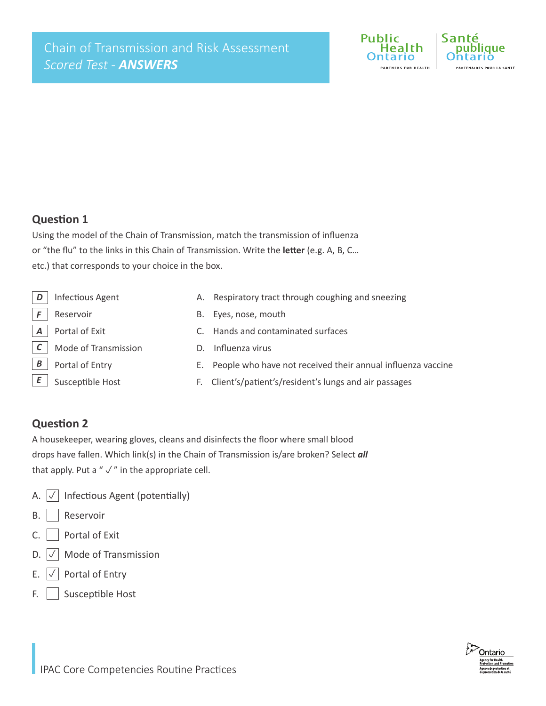

#### **Question 1**

Using the model of the Chain of Transmission, match the transmission of influenza or "the flu" to the links in this Chain of Transmission. Write the **letter** (e.g. A, B, C… etc.) that corresponds to your choice in the box.

|   | Infectious Agent     |    | A. Respiratory tract through coughing and sneezing             |
|---|----------------------|----|----------------------------------------------------------------|
|   | Reservoir            | В. | Eyes, nose, mouth                                              |
|   | Portal of Exit       |    | Hands and contaminated surfaces                                |
|   | Mode of Transmission |    | Influenza virus                                                |
| B | Portal of Entry      |    | E. People who have not received their annual influenza vaccine |
|   | Susceptible Host     |    | F. Client's/patient's/resident's lungs and air passages        |
|   |                      |    |                                                                |

### **Question 2**

A housekeeper, wearing gloves, cleans and disinfects the floor where small blood drops have fallen. Which link(s) in the Chain of Transmission is/are broken? Select *all*  that apply. Put a " $\sqrt{ }$ " in the appropriate cell.

- A.  $\boxed{\checkmark}$  Infectious Agent (potentially)
- B. | Reservoir
- C. Portal of Exit
- D.  $\boxed{\smash{\vee}}$  Mode of Transmission
- E.  $\boxed{\smash{\check{\smash{\vee}}}$  Portal of Entry
- F. Susceptible Host

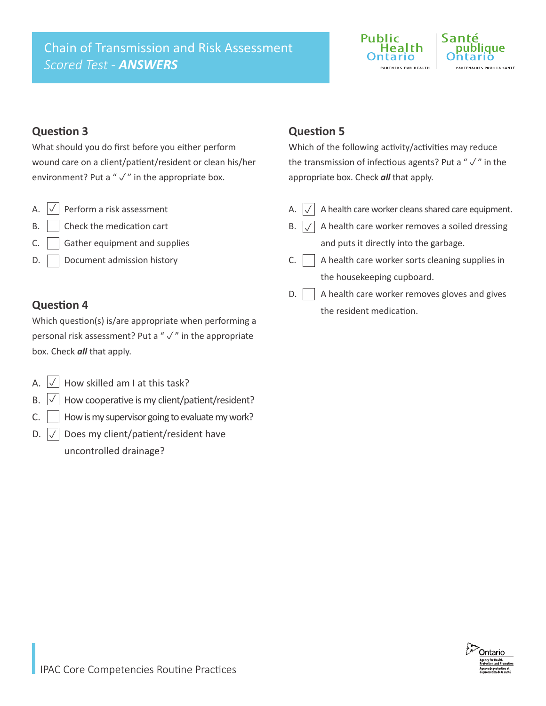# Chain of Transmission and Risk Assessment *Scored Test - ANSWERS*



## **Question 3**

What should you do first before you either perform wound care on a client/patient/resident or clean his/her environment? Put a " $\sqrt{ }$ " in the appropriate box.

- A.  $\boxed{\checkmark}$  Perform a risk assessment  $\boxed{\checkmark}$
- B. Check the medication cart
- $C.$  Gather equipment and supplies
- D. Document admission history

## **Question 4**

Which question(s) is/are appropriate when performing a personal risk assessment? Put a " $\sqrt{ }$ " in the appropriate box. Check *all* that apply.

- A.  $\boxed{\vee}$  How skilled am I at this task?
- B.  $\boxed{\vee}$  How cooperative is my client/patient/resident?
- C.  $\parallel$  How is my supervisor going to evaluate my work?
- D.  $|\sqrt{\ }|$  Does my client/patient/resident have uncontrolled drainage?

# **Question 5**

Which of the following activity/activities may reduce the transmission of infectious agents? Put a " $\sqrt{ }$ " in the appropriate box. Check *all* that apply.

- A.  $\left|\sqrt{\right|}$  A health care worker cleans shared care equipment.
- B.  $|\sqrt{ }|$  A health care worker removes a soiled dressing and puts it directly into the garbage.
- $C.$  A health care worker sorts cleaning supplies in the housekeeping cupboard.
- $\mathsf{D}.$  A health care worker removes gloves and gives the resident medication.